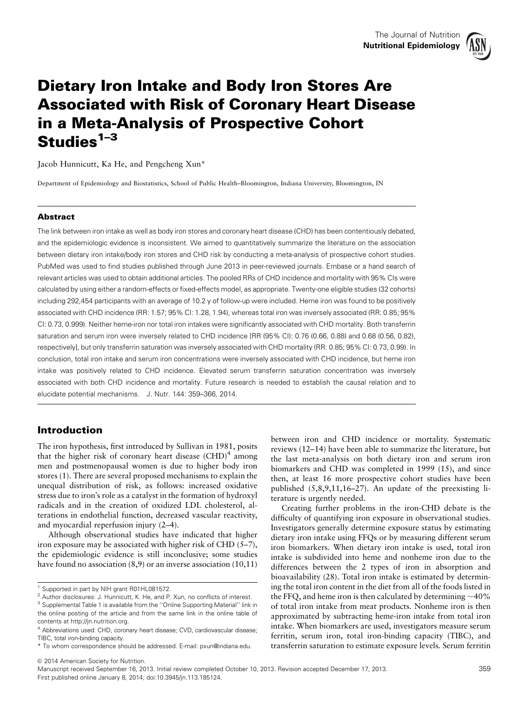

# Dietary Iron Intake and Body Iron Stores Are Associated with Risk of Coronary Heart Disease in a Meta-Analysis of Prospective Cohort Studies $1-3$

Jacob Hunnicutt, Ka He, and Pengcheng Xun\*

Department of Epidemiology and Biostatistics, School of Public Health–Bloomington, Indiana University, Bloomington, IN

#### Abstract

The link between iron intake as well as body iron stores and coronary heart disease (CHD) has been contentiously debated, and the epidemiologic evidence is inconsistent. We aimed to quantitatively summarize the literature on the association between dietary iron intake/body iron stores and CHD risk by conducting a meta-analysis of prospective cohort studies. PubMed was used to find studies published through June 2013 in peer-reviewed journals. Embase or a hand search of relevant articles was used to obtain additional articles. The pooled RRs of CHD incidence and mortality with 95% CIs were calculated by using either a random-effects or fixed-effects model, as appropriate. Twenty-one eligible studies (32 cohorts) including 292,454 participants with an average of 10.2 y of follow-up were included. Heme iron was found to be positively associated with CHD incidence (RR: 1.57; 95% CI: 1.28, 1.94), whereas total iron was inversely associated (RR: 0.85; 95% CI: 0.73, 0.999). Neither heme-iron nor total iron intakes were significantly associated with CHD mortality. Both transferrin saturation and serum iron were inversely related to CHD incidence [RR (95% CI): 0.76 (0.66, 0.88) and 0.68 (0.56, 0.82), respectively], but only transferrin saturation was inversely associated with CHD mortality (RR: 0.85; 95% CI: 0.73, 0.99). In conclusion, total iron intake and serum iron concentrations were inversely associated with CHD incidence, but heme iron intake was positively related to CHD incidence. Elevated serum transferrin saturation concentration was inversely associated with both CHD incidence and mortality. Future research is needed to establish the causal relation and to elucidate potential mechanisms. J. Nutr. 144: 359–366, 2014.

#### Introduction

The iron hypothesis, first introduced by Sullivan in 1981, posits that the higher risk of coronary heart disease  $(CHD)^4$  among men and postmenopausal women is due to higher body iron stores (1). There are several proposed mechanisms to explain the unequal distribution of risk, as follows: increased oxidative stress due to iron's role as a catalyst in the formation of hydroxyl radicals and in the creation of oxidized LDL cholesterol, alterations in endothelial function, decreased vascular reactivity, and myocardial reperfusion injury (2–4).

Although observational studies have indicated that higher iron exposure may be associated with higher risk of CHD (5–7), the epidemiologic evidence is still inconclusive; some studies have found no association (8,9) or an inverse association (10,11)

between iron and CHD incidence or mortality. Systematic reviews (12–14) have been able to summarize the literature, but the last meta-analysis on both dietary iron and serum iron biomarkers and CHD was completed in 1999 (15), and since then, at least 16 more prospective cohort studies have been published (5,8,9,11,16–27). An update of the preexisting literature is urgently needed.

Creating further problems in the iron-CHD debate is the difficulty of quantifying iron exposure in observational studies. Investigators generally determine exposure status by estimating dietary iron intake using FFQs or by measuring different serum iron biomarkers. When dietary iron intake is used, total iron intake is subdivided into heme and nonheme iron due to the differences between the 2 types of iron in absorption and bioavailability (28). Total iron intake is estimated by determining the total iron content in the diet from all of the foods listed in the FFQ, and heme iron is then calculated by determining  $\sim$ 40% of total iron intake from meat products. Nonheme iron is then approximated by subtracting heme-iron intake from total iron intake. When biomarkers are used, investigators measure serum ferritin, serum iron, total iron-binding capacity (TIBC), and transferrin saturation to estimate exposure levels. Serum ferritin

<sup>1</sup> Supported in part by NIH grant R01HL081572.

<sup>&</sup>lt;sup>2</sup> Author disclosures: J. Hunnicutt, K. He, and P. Xun, no conflicts of interest.

<sup>3</sup> Supplemental Table 1 is available from the ''Online Supporting Material'' link in the online posting of the article and from the same link in the online table of contents at http://jn.nutrition.org.

<sup>4</sup> Abbreviations used: CHD, coronary heart disease; CVD, cardiovascular disease; TIBC, total iron-binding capacity.

<sup>\*</sup> To whom correspondence should be addressed. E-mail: pxun@indiana.edu.

 $©$  2014 American Society for Nutrition.

Manuscript received September 16, 2013. Initial review completed October 10, 2013. Revision accepted December 17, 2013. 359 First published online January 8, 2014; doi:10.3945/jn.113.185124.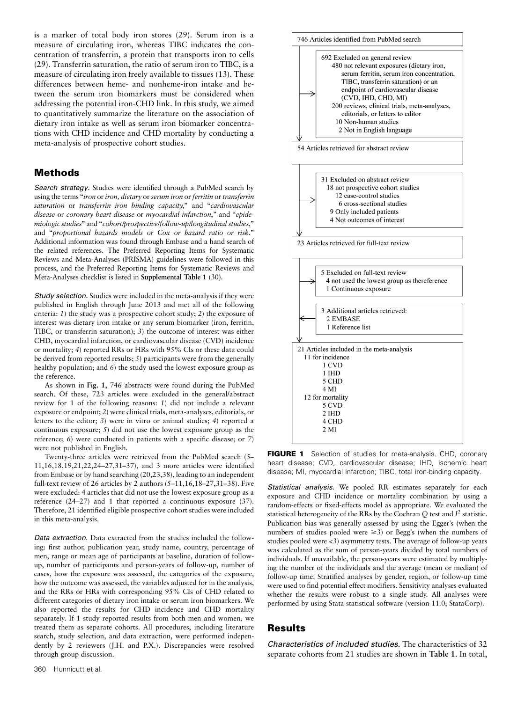is a marker of total body iron stores (29). Serum iron is a measure of circulating iron, whereas TIBC indicates the concentration of transferrin, a protein that transports iron to cells (29). Transferrin saturation, the ratio of serum iron to TIBC, is a measure of circulating iron freely available to tissues (13). These differences between heme- and nonheme-iron intake and between the serum iron biomarkers must be considered when addressing the potential iron-CHD link. In this study, we aimed to quantitatively summarize the literature on the association of dietary iron intake as well as serum iron biomarker concentrations with CHD incidence and CHD mortality by conducting a meta-analysis of prospective cohort studies.

#### Methods

Search strategy. Studies were identified through a PubMed search by using the terms "iron or iron, dietary or serum iron or ferritin or transferrin saturation or transferrin iron binding capacity," and "cardiovascular disease or coronary heart disease or myocardial infarction," and "epidemiologic studies" and "cohort/prospective/follow-up/longitudinal studies," and "proportional hazards models or Cox or hazard ratio or risk." Additional information was found through Embase and a hand search of the related references. The Preferred Reporting Items for Systematic Reviews and Meta-Analyses (PRISMA) guidelines were followed in this process, and the Preferred Reporting Items for Systematic Reviews and Meta-Analyses checklist is listed in Supplemental Table 1 (30).

Study selection. Studies were included in the meta-analysis if they were published in English through June 2013 and met all of the following criteria: 1) the study was a prospective cohort study; 2) the exposure of interest was dietary iron intake or any serum biomarker (iron, ferritin, TIBC, or transferrin saturation); 3) the outcome of interest was either CHD, myocardial infarction, or cardiovascular disease (CVD) incidence or mortality; 4) reported RRs or HRs with 95% CIs or these data could be derived from reported results; 5) participants were from the generally healthy population; and 6) the study used the lowest exposure group as the reference.

As shown in Fig. 1, 746 abstracts were found during the PubMed search. Of these, 723 articles were excluded in the general/abstract review for 1 of the following reasons: 1) did not include a relevant exposure or endpoint; 2) were clinical trials, meta-analyses, editorials, or letters to the editor; 3) were in vitro or animal studies; 4) reported a continuous exposure; 5) did not use the lowest exposure group as the reference; 6) were conducted in patients with a specific disease; or 7) were not published in English.

Twenty-three articles were retrieved from the PubMed search (5– 11,16,18,19,21,22,24–27,31–37), and 3 more articles were identified from Embase or by hand searching (20,23,38), leading to an independent full-text review of 26 articles by 2 authors (5–11,16,18–27,31–38). Five were excluded: 4 articles that did not use the lowest exposure group as a reference (24–27) and 1 that reported a continuous exposure (37). Therefore, 21 identified eligible prospective cohort studies were included in this meta-analysis.

Data extraction. Data extracted from the studies included the following: first author, publication year, study name, country, percentage of men, range or mean age of participants at baseline, duration of followup, number of participants and person-years of follow-up, number of cases, how the exposure was assessed, the categories of the exposure, how the outcome was assessed, the variables adjusted for in the analysis, and the RRs or HRs with corresponding 95% CIs of CHD related to different categories of dietary iron intake or serum iron biomarkers. We also reported the results for CHD incidence and CHD mortality separately. If 1 study reported results from both men and women, we treated them as separate cohorts. All procedures, including literature search, study selection, and data extraction, were performed independently by 2 reviewers (J.H. and P.X.). Discrepancies were resolved through group discussion.



FIGURE 1 Selection of studies for meta-analysis. CHD, coronary heart disease; CVD, cardiovascular disease; IHD, ischemic heart disease; MI, myocardial infarction; TIBC, total iron-binding capacity.

Statistical analysis. We pooled RR estimates separately for each exposure and CHD incidence or mortality combination by using a random-effects or fixed-effects model as appropriate. We evaluated the statistical heterogeneity of the RRs by the Cochran  $Q$  test and  $I^2$  statistic. Publication bias was generally assessed by using the Egger's (when the numbers of studies pooled were  $\geq$ 3) or Begg's (when the numbers of studies pooled were <3) asymmetry tests. The average of follow-up years was calculated as the sum of person-years divided by total numbers of individuals. If unavailable, the person-years were estimated by multiplying the number of the individuals and the average (mean or median) of follow-up time. Stratified analyses by gender, region, or follow-up time were used to find potential effect modifiers. Sensitivity analyses evaluated whether the results were robust to a single study. All analyses were performed by using Stata statistical software (version 11.0; StataCorp).

### **Results**

Characteristics of included studies. The characteristics of 32 separate cohorts from 21 studies are shown in Table 1. In total,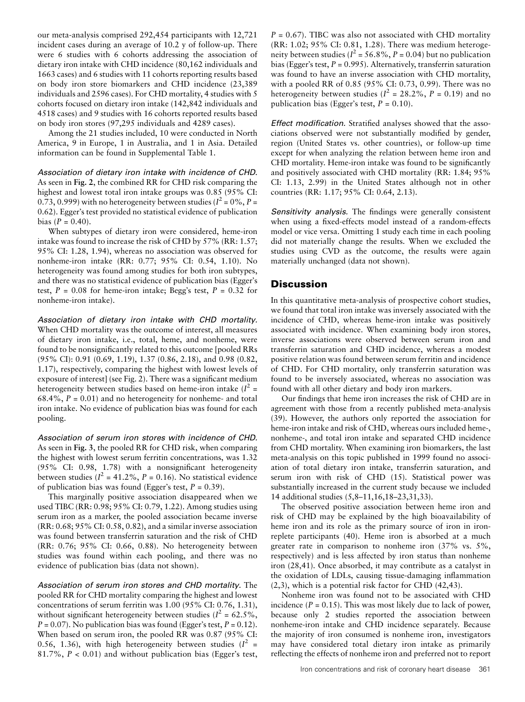our meta-analysis comprised 292,454 participants with 12,721 incident cases during an average of 10.2 y of follow-up. There were 6 studies with 6 cohorts addressing the association of dietary iron intake with CHD incidence (80,162 individuals and 1663 cases) and 6 studies with 11 cohorts reporting results based on body iron store biomarkers and CHD incidence (23,389 individuals and 2596 cases). For CHD mortality, 4 studies with 5 cohorts focused on dietary iron intake (142,842 individuals and 4518 cases) and 9 studies with 16 cohorts reported results based on body iron stores (97,295 individuals and 4289 cases).

Among the 21 studies included, 10 were conducted in North America, 9 in Europe, 1 in Australia, and 1 in Asia. Detailed information can be found in Supplemental Table 1.

Association of dietary iron intake with incidence of CHD. As seen in Fig. 2, the combined RR for CHD risk comparing the highest and lowest total iron intake groups was 0.85 (95% CI: 0.73, 0.999) with no heterogeneity between studies ( $I^2 = 0\%$ ,  $P =$ 0.62). Egger's test provided no statistical evidence of publication bias  $(P = 0.40)$ .

When subtypes of dietary iron were considered, heme-iron intake was found to increase the risk of CHD by 57% (RR: 1.57; 95% CI: 1.28, 1.94), whereas no association was observed for nonheme-iron intake (RR: 0.77; 95% CI: 0.54, 1.10). No heterogeneity was found among studies for both iron subtypes, and there was no statistical evidence of publication bias (Egger's test,  $P = 0.08$  for heme-iron intake; Begg's test,  $P = 0.32$  for nonheme-iron intake).

Association of dietary iron intake with CHD mortality. When CHD mortality was the outcome of interest, all measures of dietary iron intake, i.e., total, heme, and nonheme, were found to be nonsignificantly related to this outcome [pooled RRs (95% CI): 0.91 (0.69, 1.19), 1.37 (0.86, 2.18), and 0.98 (0.82, 1.17), respectively, comparing the highest with lowest levels of exposure of interest] (see Fig. 2). There was a significant medium heterogeneity between studies based on heme-iron intake  $(I^2 =$ 68.4%,  $P = 0.01$  and no heterogeneity for nonheme- and total iron intake. No evidence of publication bias was found for each pooling.

Association of serum iron stores with incidence of CHD. As seen in Fig. 3, the pooled RR for CHD risk, when comparing the highest with lowest serum ferritin concentrations, was 1.32 (95% CI: 0.98, 1.78) with a nonsignificant heterogeneity between studies ( $I^2 = 41.2\%$ ,  $P = 0.16$ ). No statistical evidence of publication bias was found (Egger's test,  $P = 0.39$ ).

This marginally positive association disappeared when we used TIBC (RR: 0.98; 95% CI: 0.79, 1.22). Among studies using serum iron as a marker, the pooled association became inverse (RR: 0.68; 95% CI: 0.58, 0.82), and a similar inverse association was found between transferrin saturation and the risk of CHD (RR: 0.76; 95% CI: 0.66, 0.88). No heterogeneity between studies was found within each pooling, and there was no evidence of publication bias (data not shown).

Association of serum iron stores and CHD mortality. The pooled RR for CHD mortality comparing the highest and lowest concentrations of serum ferritin was 1.00 (95% CI: 0.76, 1.31), without significant heterogeneity between studies ( $I^2 = 62.5\%$ ,  $P = 0.07$ ). No publication bias was found (Egger's test,  $P = 0.12$ ). When based on serum iron, the pooled RR was 0.87 (95% CI: 0.56, 1.36), with high heterogeneity between studies ( $I^2$  = 81.7%,  $P < 0.01$ ) and without publication bias (Egger's test,

 $P = 0.67$ ). TIBC was also not associated with CHD mortality (RR: 1.02; 95% CI: 0.81, 1.28). There was medium heterogeneity between studies ( $I^2$  = 56.8%,  $P$  = 0.04) but no publication bias (Egger's test,  $P = 0.995$ ). Alternatively, transferrin saturation was found to have an inverse association with CHD mortality, with a pooled RR of 0.85 (95% CI: 0.73, 0.99). There was no heterogeneity between studies ( $I^2 = 28.2\%$ ,  $P = 0.19$ ) and no publication bias (Egger's test,  $P = 0.10$ ).

Effect modification. Stratified analyses showed that the associations observed were not substantially modified by gender, region (United States vs. other countries), or follow-up time except for when analyzing the relation between heme iron and CHD mortality. Heme-iron intake was found to be significantly and positively associated with CHD mortality (RR: 1.84; 95% CI: 1.13, 2.99) in the United States although not in other countries (RR: 1.17; 95% CI: 0.64, 2.13).

Sensitivity analysis. The findings were generally consistent when using a fixed-effects model instead of a random-effects model or vice versa. Omitting 1 study each time in each pooling did not materially change the results. When we excluded the studies using CVD as the outcome, the results were again materially unchanged (data not shown).

## **Discussion**

In this quantitative meta-analysis of prospective cohort studies, we found that total iron intake was inversely associated with the incidence of CHD, whereas heme-iron intake was positively associated with incidence. When examining body iron stores, inverse associations were observed between serum iron and transferrin saturation and CHD incidence, whereas a modest positive relation was found between serum ferritin and incidence of CHD. For CHD mortality, only transferrin saturation was found to be inversely associated, whereas no association was found with all other dietary and body iron markers.

Our findings that heme iron increases the risk of CHD are in agreement with those from a recently published meta-analysis (39). However, the authors only reported the association for heme-iron intake and risk of CHD, whereas ours included heme-, nonheme-, and total iron intake and separated CHD incidence from CHD mortality. When examining iron biomarkers, the last meta-analysis on this topic published in 1999 found no association of total dietary iron intake, transferrin saturation, and serum iron with risk of CHD (15). Statistical power was substantially increased in the current study because we included 14 additional studies (5,8–11,16,18–23,31,33).

The observed positive association between heme iron and risk of CHD may be explained by the high bioavailability of heme iron and its role as the primary source of iron in ironreplete participants (40). Heme iron is absorbed at a much greater rate in comparison to nonheme iron (37% vs. 5%, respectively) and is less affected by iron status than nonheme iron (28,41). Once absorbed, it may contribute as a catalyst in the oxidation of LDLs, causing tissue-damaging inflammation (2,3), which is a potential risk factor for CHD (42,43).

Nonheme iron was found not to be associated with CHD incidence  $(P = 0.15)$ . This was most likely due to lack of power, because only 2 studies reported the association between nonheme-iron intake and CHD incidence separately. Because the majority of iron consumed is nonheme iron, investigators may have considered total dietary iron intake as primarily reflecting the effects of nonheme iron and preferred not to report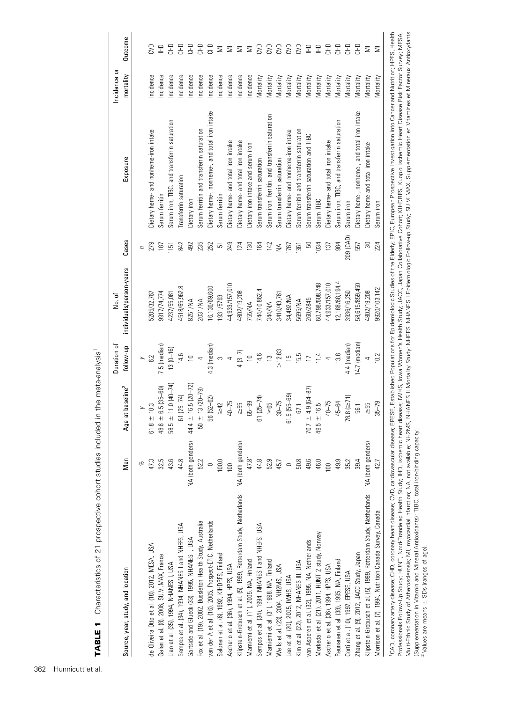|                                                                                                                                                                                                                             |                   |                              | Duration of              | No. of                   |           |                                                  | Incidence or |                  |
|-----------------------------------------------------------------------------------------------------------------------------------------------------------------------------------------------------------------------------|-------------------|------------------------------|--------------------------|--------------------------|-----------|--------------------------------------------------|--------------|------------------|
| Source, year, study, and location                                                                                                                                                                                           | Men               | Age at baseline <sup>2</sup> | follow-up                | individuals/person-years | Cases     | Exposure                                         | mortality    | <b>Outcome</b>   |
|                                                                                                                                                                                                                             | %                 |                              |                          |                          |           |                                                  |              |                  |
| de Oliveira Otto et al. (18), 2012, MESA, USA                                                                                                                                                                               | 47.3              | $31.8 \pm 10.3$              | 6.2                      | 5285/32,767              | 279       | Dietary heme- and nonheme-iron intake            | Incidence    | ξ                |
| Galan et al. (8), 2006, SU.VI.MAX, France                                                                                                                                                                                   | 32.5              | $48.6 \pm 6.5 (35 - 60)$     | 7.5 (median)             | 9917/74,774              | 187       | Serum ferritin                                   | ncidence     | 呈                |
| iao et al. (35), 1994, NHANES I, USA                                                                                                                                                                                        | 43.6              | $58.5 \pm 11.0 (40 - 74)$    | $13(0 - 16)$             | 1237/55,081              | 151       | Serum iron, TIBC. and transferrin saturation     | ncidence     | 뭉                |
| Sempos et al. (34), 1994, NHANES I and NHEFS, USA                                                                                                                                                                           | 44.8              | $61(25 - 74)$                | 14.6                     | 1518/65,962.8            | 842       | ransferrin saturation                            | ncidence     | 움                |
| Gartside and Glueck (33), 1995, NHANES I, USA                                                                                                                                                                               | NA (both genders) | $\pm$ 16.5 (20-72)<br>44.4   | $\supseteq$              | 8251/NA                  | 492       | Dietary iron                                     | ncidence     | 뭉                |
| Fox et al. (19), 2002, Bussleton Health Study, Australia                                                                                                                                                                    | 52.2              | $50 \pm 13 (20 - 79)$        | 4                        | 2031/NA                  | 235       | Serum ferritin and transferrin saturation        | ncidence     | 뭉                |
| van der A et al. (16), 2005, Prospect-EPIC, Netherlands                                                                                                                                                                     |                   | 56 (52-62)                   | 4.3 (median)             | 6,136/69,600             | 252       | Dietary heme-, nonheme-, and total iron intake   | Incidence    | 뭉                |
| Salonen et al. (6), 1992, KIHDRFS, Finland                                                                                                                                                                                  | 100.0             | $\geq 42$                    |                          | 1931/5793                | 고         | Serum ferritin                                   | ncidence     | Ξ                |
| Ascherio et al. (36), 1994, HPFS, USA                                                                                                                                                                                       | 100               | $40 - 75$                    |                          | 44,933/157,010           | 249       | Dietary heme- and total iron intake              | Incidence    | $\overline{\ge}$ |
| Klipstein-Grobusch et al. (5), 1999, Rotterdam Study, Netherlands MA (both genders)                                                                                                                                         |                   | 555<br>M                     | $4(3-7)$                 | 4802/19,208              | 124       | Dietary heme- and total iron intake              | ncidence     | $\overline{\ge}$ |
| Marniemi et al. (11), 2005, NA, Finland                                                                                                                                                                                     | 47.81             | $65 - 39$                    | $\Xi$                    | 755/NA                   | 130       | Dietary iron intake and serum iron               | ncidence     | $\overline{\ge}$ |
| Sempos et al. (34), 1994, NHANES I and NHEFS, USA                                                                                                                                                                           | 44.8              | $61(25 - 74)$                | 14.6                     | 144/10,862.4             | 164       | Serum transferrin saturation                     | Vlortality   | <b>S</b>         |
| Marniemi et al. (31), 1998, NA, Finland                                                                                                                                                                                     | 52.9              | 39 <sup>2</sup>              | $\frac{1}{2}$            | 344/NA                   | 142       | Serum iron, ferritin, and transferrin saturation | Mortality    | g                |
| Wells et al. (23), 2004, NH2MS, USA                                                                                                                                                                                         | 45.7              | $30 - 75$                    | >12.83                   | 3410/43,761              | ₹         | Serum transferrin saturation                     | Vlortality   | g                |
| ee et al. (20), 2005, IVVHS, USA                                                                                                                                                                                            | $\circ$           | $61.5(55-69)$                | $\overline{5}$           | 34,492/NA                | 1767      | Dietary heme- and nonheme-iron intake            | Vlortality   | 5                |
| Kim et al. (22), 2012, NHANES III, USA                                                                                                                                                                                      | 50.8              | 67.1                         | 15.5                     | 5695/NA                  | 1361      | Serum ferritin and transferrin saturation        | Vlortality   | <b>CVD</b>       |
| van Asperen et al. (32), 1995, NA, Netherlands                                                                                                                                                                              | 49.6              | $70.7 \pm 4.9$ (64-87)       | $\overline{\phantom{0}}$ | 260/2845                 | 50        | Serum transferrin saturation and TIBC            | Vlortality   | 呈                |
| Morkedal et al. (21), 2011, HUNT 2 study, Norway                                                                                                                                                                            | 46.0              | $49.5 \pm 16.5$              | 11.4                     | 60,798/608,748           | 1034      | Serum TIBC                                       | Vlortality   | $\Xi$            |
| Ascherio et al. (36), 1994, HPFS, USA                                                                                                                                                                                       | 100               | $40 - 75$                    |                          | 14,933/157,010           | 137       | Dietary heme- and total iron intake              | Vlortality   | SЭ               |
| Reunanen et al. (38), 1995, NA, Finland                                                                                                                                                                                     | 49.9              | 45-64                        | 13.8                     | 12,188/68,194.4          | 984       | Serum iron, TIBC, and transferrin saturation     | Vlortality   | ES               |
| Corti et al. (10), 1997, EPESE, USA                                                                                                                                                                                         | 35.2              | $78.8 (= 71)$                | 4.4 (median)             | 3936/16,250              | 209 (CAD) | Serum iron                                       | Vlortality   | 움                |
| Zhang et al. (9), 2012, JACC Study, Japan                                                                                                                                                                                   | 39.4              | 56.1                         | 14.7 (median)            | 58,615/859,450           | 557       | Dietary heme-, nonheme-, and total iron intake   | Mortality    | E                |
| Klipstein-Grobusch et al. (5), 1999, Rotterdam Study, Netherlands NA (both genders)                                                                                                                                         |                   | 요<br>이                       | 4                        | 1802/19,208              | 30        | Dietary heme and total iron intake               | Vlortality   | Ξ                |
| Morrison et al. [7], 1994, Nutrition Canada Survey, Canada                                                                                                                                                                  | 42.7              | $35 - 79$                    | 10.2                     | 9920/103,142             | 224       | Serum iron                                       | Vlortality   | Ξ                |
| CAD, coronary artieny heard issease; CVD, cardiovascular disease; EPESE, Established Populations for Epidemiologic Studies of the Elefory, EPIC, European Prospective Investigation into Cancer and Nutrition; HPFS, Health |                   |                              |                          |                          |           |                                                  |              |                  |

TABLE 1 Characteristics of 21 prospective cohort studies included in the meta-analysis<sup>1</sup> TABLE 1 Characteristics of 21 prospective cohort studies included in the meta-analysis1

Professionals Follow-Up Study; HUNT, Nord-Travidleg Health Study; HH, Heart disease; WUHS, lowa Women's Health Study; JACC, Japan Collaborative Cohort; KIHDRFS, Kuopio Ischemic Heart Disease Risk Factor Survey; MESA, Multi-Ethnic Study of Atherosclerosis; MI, myocardial infarction; NA, not available; NH2MS, NHANES II Mortality Study; NHEFS, NHANES I Epidemiologic Follow-up Study; SU.VI.MAX, Supplementation en Vitamines et Mineraux Antioxydants (Supplementation in Vitamin and Mineral Antioxidants); TIBC, total iron-binding capacity. Professionals Follow-Up Study; HUNT, Nord-Tøndelag Health Study; HD, ischemic heart iscasse; IWHS, lowa Women's Health Study; JACC, Japan Collaborative Cohort; KIHDRFS, Kuopio Ischemic Heart Disease Risk Factor Survey; MES  $4$  Values are means  $\pm$  SDs (ranges of age).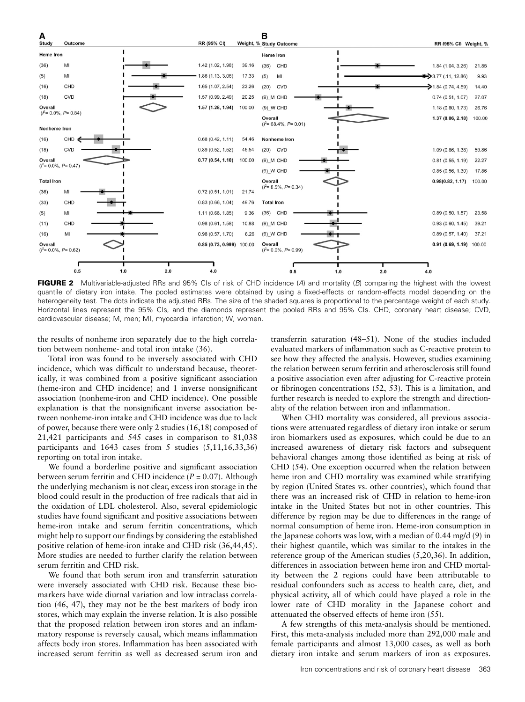

FIGURE 2 Multivariable-adjusted RRs and 95% CIs of risk of CHD incidence (A) and mortality (B) comparing the highest with the lowest quantile of dietary iron intake. The pooled estimates were obtained by using a fixed-effects or random-effects model depending on the heterogeneity test. The dots indicate the adjusted RRs. The size of the shaded squares is proportional to the percentage weight of each study. Horizontal lines represent the 95% CIs, and the diamonds represent the pooled RRs and 95% CIs. CHD, coronary heart disease; CVD, cardiovascular disease; M, men; MI, myocardial infarction; W, women.

the results of nonheme iron separately due to the high correlation between nonheme- and total iron intake (36).

Total iron was found to be inversely associated with CHD incidence, which was difficult to understand because, theoretically, it was combined from a positive significant association (heme-iron and CHD incidence) and 1 inverse nonsignificant association (nonheme-iron and CHD incidence). One possible explanation is that the nonsignificant inverse association between nonheme-iron intake and CHD incidence was due to lack of power, because there were only 2 studies (16,18) composed of 21,421 participants and 545 cases in comparison to 81,038 participants and 1643 cases from 5 studies (5,11,16,33,36) reporting on total iron intake.

We found a borderline positive and significant association between serum ferritin and CHD incidence  $(P = 0.07)$ . Although the underlying mechanism is not clear, excess iron storage in the blood could result in the production of free radicals that aid in the oxidation of LDL cholesterol. Also, several epidemiologic studies have found significant and positive associations between heme-iron intake and serum ferritin concentrations, which might help to support our findings by considering the established positive relation of heme-iron intake and CHD risk (36,44,45). More studies are needed to further clarify the relation between serum ferritin and CHD risk.

We found that both serum iron and transferrin saturation were inversely associated with CHD risk. Because these biomarkers have wide diurnal variation and low intraclass correlation (46, 47), they may not be the best markers of body iron stores, which may explain the inverse relation. It is also possible that the proposed relation between iron stores and an inflammatory response is reversely causal, which means inflammation affects body iron stores. Inflammation has been associated with increased serum ferritin as well as decreased serum iron and

transferrin saturation (48–51). None of the studies included evaluated markers of inflammation such as C-reactive protein to see how they affected the analysis. However, studies examining the relation between serum ferritin and atherosclerosis still found a positive association even after adjusting for C-reactive protein or fibrinogen concentrations (52, 53). This is a limitation, and further research is needed to explore the strength and directionality of the relation between iron and inflammation.

When CHD mortality was considered, all previous associations were attenuated regardless of dietary iron intake or serum iron biomarkers used as exposures, which could be due to an increased awareness of dietary risk factors and subsequent behavioral changes among those identified as being at risk of CHD (54). One exception occurred when the relation between heme iron and CHD mortality was examined while stratifying by region (United States vs. other countries), which found that there was an increased risk of CHD in relation to heme-iron intake in the United States but not in other countries. This difference by region may be due to differences in the range of normal consumption of heme iron. Heme-iron consumption in the Japanese cohorts was low, with a median of 0.44 mg/d (9) in their highest quantile, which was similar to the intakes in the reference group of the American studies (5,20,36). In addition, differences in association between heme iron and CHD mortality between the 2 regions could have been attributable to residual confounders such as access to health care, diet, and physical activity, all of which could have played a role in the lower rate of CHD morality in the Japanese cohort and attenuated the observed effects of heme iron (55).

A few strengths of this meta-analysis should be mentioned. First, this meta-analysis included more than 292,000 male and female participants and almost 13,000 cases, as well as both dietary iron intake and serum markers of iron as exposures.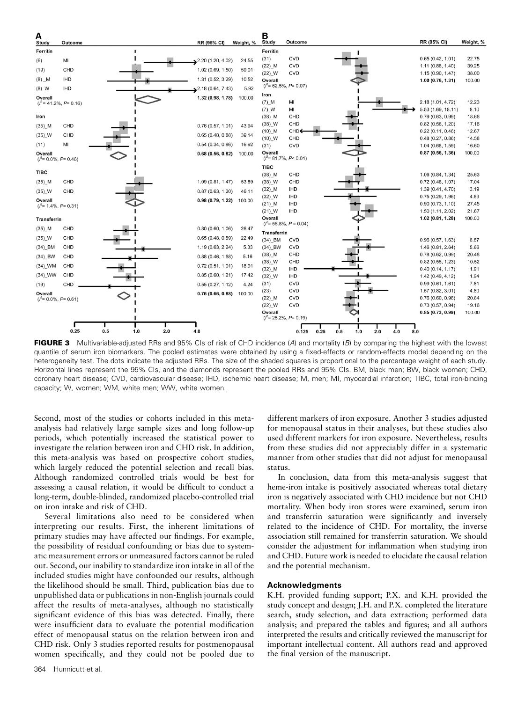

FIGURE 3 Multivariable-adjusted RRs and 95% CIs of risk of CHD incidence  $(A)$  and mortality  $(B)$  by comparing the highest with the lowest quantile of serum iron biomarkers. The pooled estimates were obtained by using a fixed-effects or random-effects model depending on the heterogeneity test. The dots indicate the adjusted RRs. The size of the shaded squares is proportional to the percentage weight of each study. Horizontal lines represent the 95% CIs, and the diamonds represent the pooled RRs and 95% CIs. BM, black men; BW, black women; CHD, coronary heart disease; CVD, cardiovascular disease; IHD, ischemic heart disease; M, men; MI, myocardial infarction; TIBC, total iron-binding capacity; W, women; WM, white men; WW, white women.

Second, most of the studies or cohorts included in this metaanalysis had relatively large sample sizes and long follow-up periods, which potentially increased the statistical power to investigate the relation between iron and CHD risk. In addition, this meta-analysis was based on prospective cohort studies, which largely reduced the potential selection and recall bias. Although randomized controlled trials would be best for assessing a causal relation, it would be difficult to conduct a long-term, double-blinded, randomized placebo-controlled trial on iron intake and risk of CHD.

Several limitations also need to be considered when interpreting our results. First, the inherent limitations of primary studies may have affected our findings. For example, the possibility of residual confounding or bias due to systematic measurement errors or unmeasured factors cannot be ruled out. Second, our inability to standardize iron intake in all of the included studies might have confounded our results, although the likelihood should be small. Third, publication bias due to unpublished data or publications in non-English journals could affect the results of meta-analyses, although no statistically significant evidence of this bias was detected. Finally, there were insufficient data to evaluate the potential modification effect of menopausal status on the relation between iron and CHD risk. Only 3 studies reported results for postmenopausal women specifically, and they could not be pooled due to

364 Hunnicutt et al.

different markers of iron exposure. Another 3 studies adjusted for menopausal status in their analyses, but these studies also used different markers for iron exposure. Nevertheless, results from these studies did not appreciably differ in a systematic manner from other studies that did not adjust for menopausal status.

In conclusion, data from this meta-analysis suggest that heme-iron intake is positively associated whereas total dietary iron is negatively associated with CHD incidence but not CHD mortality. When body iron stores were examined, serum iron and transferrin saturation were significantly and inversely related to the incidence of CHD. For mortality, the inverse association still remained for transferrin saturation. We should consider the adjustment for inflammation when studying iron and CHD. Future work is needed to elucidate the causal relation and the potential mechanism.

#### Acknowledgments

K.H. provided funding support; P.X. and K.H. provided the study concept and design; J.H. and P.X. completed the literature search, study selection, and data extraction; performed data analysis; and prepared the tables and figures; and all authors interpreted the results and critically reviewed the manuscript for important intellectual content. All authors read and approved the final version of the manuscript.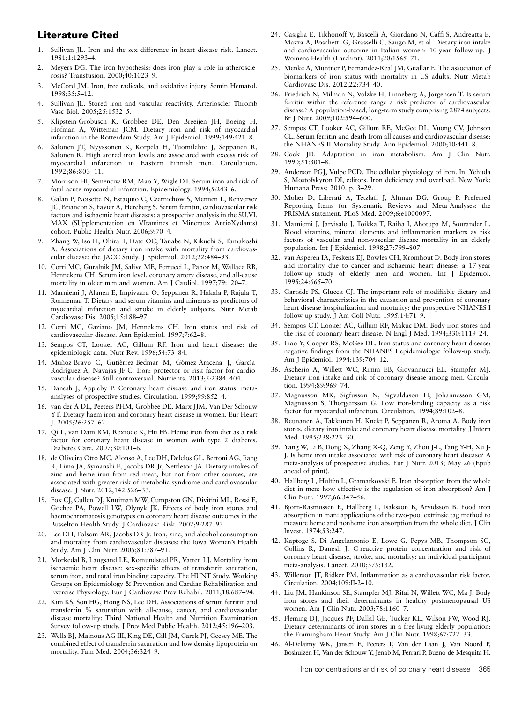## Literature Cited

- 1. Sullivan JL. Iron and the sex difference in heart disease risk. Lancet. 1981;1:1293–4.
- 2. Meyers DG. The iron hypothesis: does iron play a role in atherosclerosis? Transfusion. 2000;40:1023–9.
- 3. McCord JM. Iron, free radicals, and oxidative injury. Semin Hematol. 1998;35:5–12.
- 4. Sullivan JL. Stored iron and vascular reactivity. Arterioscler Thromb Vasc Biol. 2005;25:1532–5.
- 5. Klipstein-Grobusch K, Grobbee DE, Den Breeijen JH, Boeing H, Hofman A, Witteman JCM. Dietary iron and risk of myocardial infarction in the Rotterdam Study. Am J Epidemiol. 1999;149:421–8.
- 6. Salonen JT, Nyyssonen K, Korpela H, Tuomilehto J, Seppanen R, Salonen R. High stored iron levels are associated with excess risk of myocardial infarction in Eastern Finnish men. Circulation. 1992;86:803–11.
- 7. Morrison HI, Semenciw RM, Mao Y, Wigle DT. Serum iron and risk of fatal acute myocardial infarction. Epidemiology. 1994;5:243–6.
- 8. Galan P, Noisette N, Estaquio C, Czernichow S, Mennen L, Renversez JC, Briancon S, Favier A, Hercberg S. Serum ferritin, cardiovascular risk factors and ischaemic heart diseases: a prospective analysis in the SU.VI. MAX (SUpplementation en VItamines et Mineraux AntioXydants) cohort. Public Health Nutr. 2006;9:70–4.
- 9. Zhang W, Iso H, Ohira T, Date OC, Tanabe N, Kikuchi S, Tamakoshi A. Associations of dietary iron intake with mortality from cardiovascular disease: the JACC Study. J Epidemiol. 2012;22:484–93.
- 10. Corti MC, Guralnik JM, Salive ME, Ferrucci L, Pahor M, Wallace RB, Hennekens CH. Serum iron level, coronary artery disease, and all-cause mortality in older men and women. Am J Cardiol. 1997;79:120–7.
- 11. Marniemi J, Alanen E, Impivaara O, Seppanen R, Hakala P, Rajala T, Ronnemaa T. Dietary and serum vitamins and minerals as predictors of myocardial infarction and stroke in elderly subjects. Nutr Metab Cardiovasc Dis. 2005;15:188–97.
- 12. Corti MC, Gaziano JM, Hennekens CH. Iron status and risk of cardiovascular disease. Ann Epidemiol. 1997;7:62–8.
- 13. Sempos CT, Looker AC, Gillum RF. Iron and heart disease: the epidemiologic data. Nutr Rev. 1996;54:73–84.
- 14. Muñoz-Bravo C, Gutiérrez-Bedmar M, Gómez-Aracena J, García-Rodríguez A, Navajas JF-C. Iron: protector or risk factor for cardiovascular disease? Still controversial. Nutrients. 2013;5:2384–404.
- 15. Danesh J, Appleby P. Coronary heart disease and iron status: metaanalyses of prospective studies. Circulation. 1999;99:852–4.
- 16. van der A DL, Peeters PHM, Grobbee DE, Marx JJM, Van Der Schouw YT. Dietary haem iron and coronary heart disease in women. Eur Heart J. 2005;26:257–62.
- 17. Qi L, van Dam RM, Rexrode K, Hu FB. Heme iron from diet as a risk factor for coronary heart disease in women with type 2 diabetes. Diabetes Care. 2007;30:101–6.
- 18. de Oliveira Otto MC, Alonso A, Lee DH, Delclos GL, Bertoni AG, Jiang R, Lima JA, Symanski E, Jacobs DR Jr, Nettleton JA. Dietary intakes of zinc and heme iron from red meat, but not from other sources, are associated with greater risk of metabolic syndrome and cardiovascular disease. J Nutr. 2012;142:526–33.
- 19. Fox CJ, Cullen DJ, Knuiman MW, Cumpston GN, Divitini ML, Rossi E, Gochee PA, Powell LW, Olynyk JK. Effects of body iron stores and haemochromatosis genotypes on coronary heart disease outcomes in the Busselton Health Study. J Cardiovasc Risk. 2002;9:287–93.
- 20. Lee DH, Folsom AR, Jacobs DR Jr. Iron, zinc, and alcohol consumption and mortality from cardiovascular diseases: the Iowa Women's Health Study. Am J Clin Nutr. 2005;81:787–91.
- 21. Morkedal B, Laugsand LE, Romundstad PR, Vatten LJ. Mortality from ischaemic heart disease: sex-specific effects of transferrin saturation, serum iron, and total iron binding capacity. The HUNT Study. Working Groups on Epidemiology & Prevention and Cardiac Rehabilitation and Exercise Physiology. Eur J Cardiovasc Prev Rehabil. 2011;18:687–94.
- 22. Kim KS, Son HG, Hong NS, Lee DH. Associations of serum ferritin and transferrin % saturation with all-cause, cancer, and cardiovascular disease mortality: Third National Health and Nutrition Examination Survey follow-up study. J Prev Med Public Health. 2012;45:196–203.
- 23. Wells BJ, Mainous AG III, King DE, Gill JM, Carek PJ, Geesey ME. The combined effect of transferrin saturation and low density lipoprotein on mortality. Fam Med. 2004;36:324–9.
- 24. Casiglia E, Tikhonoff V, Bascelli A, Giordano N, Caffi S, Andreatta E, Mazza A, Boschetti G, Grasselli C, Saugo M, et al. Dietary iron intake and cardiovascular outcome in Italian women: 10-year follow-up. J Womens Health (Larchmt). 2011;20:1565–71.
- 25. Menke A, Muntner P, Fernandez-Real JM, Guallar E. The association of biomarkers of iron status with mortality in US adults. Nutr Metab Cardiovasc Dis. 2012;22:734–40.
- 26. Friedrich N, Milman N, Volzke H, Linneberg A, Jorgensen T. Is serum ferritin within the reference range a risk predictor of cardiovascular disease? A population-based, long-term study comprising 2874 subjects. Br J Nutr. 2009;102:594–600.
- 27. Sempos CT, Looker AC, Gillum RE, McGee DL, Vuong CV, Johnson CL. Serum ferritin and death from all causes and cardiovascular disease: the NHANES II Mortality Study. Ann Epidemiol. 2000;10:441–8.
- 28. Cook JD. Adaptation in iron metabolism. Am J Clin Nutr. 1990;51:301–8.
- 29. Anderson PGJ, Vulpe PCD. The cellular physiology of iron. In: Yehuda S, Mostofskyron DI, editors. Iron deficiency and overload. New York: Humana Press; 2010. p. 3–29.
- 30. Moher D, Liberati A, Tetzlaff J, Altman DG, Group P. Preferred Reporting Items for Systematic Reviews and Meta-Analyses: the PRISMA statement. PLoS Med. 2009;6:e1000097.
- 31. Marniemi J, Jarvisalo J, Toikka T, Raiha I, Ahotupa M, Sourander L. Blood vitamins, mineral elements and inflammation markers as risk factors of vascular and non-vascular disease mortality in an elderly population. Int J Epidemiol. 1998;27:799–807.
- 32. van Asperen IA, Feskens EJ, Bowles CH, Kromhout D. Body iron stores and mortality due to cancer and ischaemic heart disease: a 17-year follow-up study of elderly men and women. Int J Epidemiol. 1995;24:665–70.
- 33. Gartside PS, Glueck CJ. The important role of modifiable dietary and behavioral characteristics in the causation and prevention of coronary heart disease hospitalization and mortality: the prospective NHANES I follow-up study. J Am Coll Nutr. 1995;14:71–9.
- 34. Sempos CT, Looker AC, Gillum RF, Makuc DM. Body iron stores and the risk of coronary heart disease. N Engl J Med. 1994;330:1119–24.
- 35. Liao Y, Cooper RS, McGee DL. Iron status and coronary heart disease: negative findings from the NHANES I epidemiologic follow-up study. Am J Epidemiol. 1994;139:704–12.
- 36. Ascherio A, Willett WC, Rimm EB, Giovannucci EL, Stampfer MJ. Dietary iron intake and risk of coronary disease among men. Circulation. 1994;89:969–74.
- 37. Magnusson MK, Sigfusson N, Sigvaldason H, Johannesson GM, Magnusson S, Thorgeirsson G. Low iron-binding capacity as a risk factor for myocardial infarction. Circulation. 1994;89:102–8.
- 38. Reunanen A, Takkunen H, Knekt P, Seppanen R, Aroma A. Body iron stores, dietary iron intake and coronary heart disease mortality. J Intern Med. 1995;238:223–30.
- 39. Yang W, Li B, Dong X, Zhang X-Q, Zeng Y, Zhou J-L, Tang Y-H, Xu J-J. Is heme iron intake associated with risk of coronary heart disease? A meta-analysis of prospective studies. Eur J Nutr. 2013; May 26 (Epub ahead of print).
- 40. Hallberg L, Hultén L, Gramatkovski E. Iron absorption from the whole diet in men: how effective is the regulation of iron absorption? Am J Clin Nutr. 1997;66:347–56.
- 41. Björn-Rasmussen E, Hallberg L, Isaksson B, Arvidsson B. Food iron absorption in man: applications of the two-pool extrinsic tag method to measure heme and nonheme iron absorption from the whole diet. J Clin Invest. 1974;53:247.
- 42. Kaptoge S, Di Angelantonio E, Lowe G, Pepys MB, Thompson SG, Collins R, Danesh J. C-reactive protein concentration and risk of coronary heart disease, stroke, and mortality: an individual participant meta-analysis. Lancet. 2010;375:132.
- 43. Willerson JT, Ridker PM. Inflammation as a cardiovascular risk factor. Circulation. 2004;109:II-2–10.
- 44. Liu JM, Hankinson SE, Stampfer MJ, Rifai N, Willett WC, Ma J. Body iron stores and their determinants in healthy postmenopausal US women. Am J Clin Nutr. 2003;78:1160–7.
- 45. Fleming DJ, Jacques PF, Dallal GE, Tucker KL, Wilson PW, Wood RJ. Dietary determinants of iron stores in a free-living elderly population: the Framingham Heart Study. Am J Clin Nutr. 1998;67:722–33.
- 46. Al-Delaimy WK, Jansen E, Peeters P, Van der Laan J, Van Noord P, Boshuizen H, Van der Schouw Y, Jenab M, Ferrari P, Bueno-de-Mesquita H.